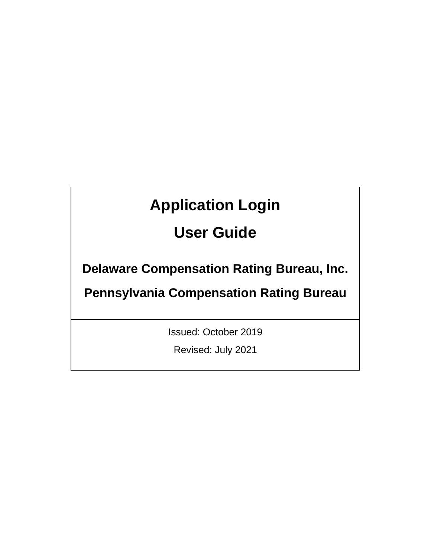# **Application Login**

## **User Guide**

**Delaware Compensation Rating Bureau, Inc.** 

**Pennsylvania Compensation Rating Bureau**

Issued: October 2019

Revised: July 2021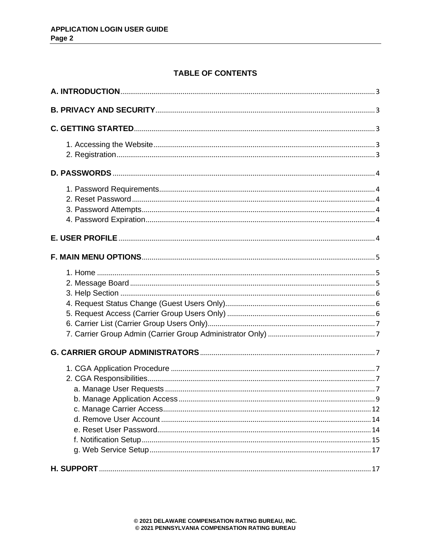## **TABLE OF CONTENTS**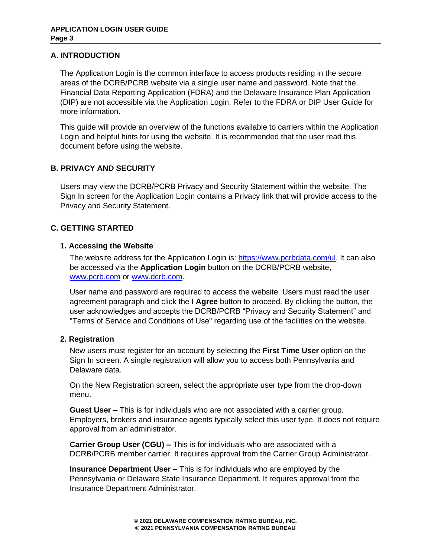## <span id="page-2-0"></span>**A. INTRODUCTION**

The Application Login is the common interface to access products residing in the secure areas of the DCRB/PCRB website via a single user name and password. Note that the Financial Data Reporting Application (FDRA) and the Delaware Insurance Plan Application (DIP) are not accessible via the Application Login. Refer to the FDRA or DIP User Guide for more information.

This guide will provide an overview of the functions available to carriers within the Application Login and helpful hints for using the website. It is recommended that the user read this document before using the website.

## <span id="page-2-1"></span>**B. PRIVACY AND SECURITY**

Users may view the DCRB/PCRB Privacy and Security Statement within the website. The Sign In screen for the Application Login contains a Privacy link that will provide access to the Privacy and Security Statement.

## <span id="page-2-2"></span>**C. GETTING STARTED**

## <span id="page-2-3"></span>**1. Accessing the Website**

The website address for the Application Login is: [https://www.pcrbdata.com/ul.](https://www.pcrbdata.com/ul) It can also be accessed via the **Application Login** button on the DCRB/PCRB website, [www.pcrb.com](http://www.pcrb.com/) or [www.dcrb.com.](http://www.dcrb.com/)

User name and password are required to access the website. Users must read the user agreement paragraph and click the **I Agree** button to proceed. By clicking the button, the user acknowledges and accepts the DCRB/PCRB "Privacy and Security Statement" and "Terms of Service and Conditions of Use" regarding use of the facilities on the website.

## <span id="page-2-4"></span>**2. Registration**

New users must register for an account by selecting the **First Time User** option on the Sign In screen. A single registration will allow you to access both Pennsylvania and Delaware data.

On the New Registration screen, select the appropriate user type from the drop-down menu.

**Guest User –** This is for individuals who are not associated with a carrier group. Employers, brokers and insurance agents typically select this user type. It does not require approval from an administrator.

**Carrier Group User (CGU) –** This is for individuals who are associated with a DCRB/PCRB member carrier. It requires approval from the Carrier Group Administrator.

**Insurance Department User –** This is for individuals who are employed by the Pennsylvania or Delaware State Insurance Department. It requires approval from the Insurance Department Administrator.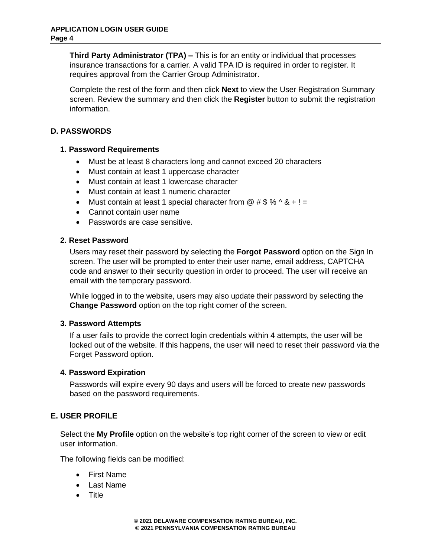**Third Party Administrator (TPA) –** This is for an entity or individual that processes insurance transactions for a carrier. A valid TPA ID is required in order to register. It requires approval from the Carrier Group Administrator.

Complete the rest of the form and then click **Next** to view the User Registration Summary screen. Review the summary and then click the **Register** button to submit the registration information.

## <span id="page-3-0"></span>**D. PASSWORDS**

## <span id="page-3-1"></span>**1. Password Requirements**

- Must be at least 8 characters long and cannot exceed 20 characters
- Must contain at least 1 uppercase character
- Must contain at least 1 lowercase character
- Must contain at least 1 numeric character
- Must contain at least 1 special character from  $@$  # \$ %  $\wedge$  &  $+!$  =
- Cannot contain user name
- Passwords are case sensitive.

## <span id="page-3-2"></span>**2. Reset Password**

Users may reset their password by selecting the **Forgot Password** option on the Sign In screen. The user will be prompted to enter their user name, email address, CAPTCHA code and answer to their security question in order to proceed. The user will receive an email with the temporary password.

While logged in to the website, users may also update their password by selecting the **Change Password** option on the top right corner of the screen.

## <span id="page-3-3"></span>**3. Password Attempts**

If a user fails to provide the correct login credentials within 4 attempts, the user will be locked out of the website. If this happens, the user will need to reset their password via the Forget Password option.

## <span id="page-3-4"></span>**4. Password Expiration**

Passwords will expire every 90 days and users will be forced to create new passwords based on the password requirements.

## <span id="page-3-5"></span>**E. USER PROFILE**

Select the **My Profile** option on the website's top right corner of the screen to view or edit user information.

The following fields can be modified:

- First Name
- Last Name
- Title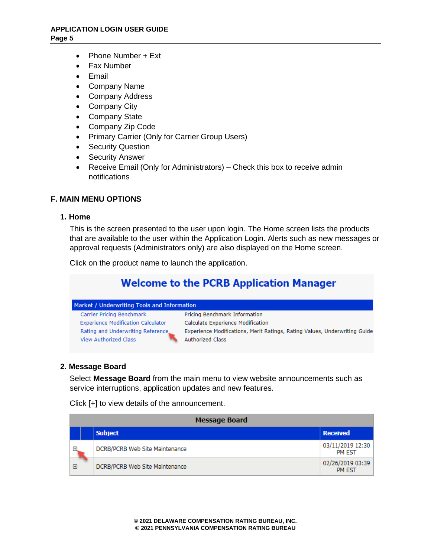- Phone Number + Ext
- Fax Number
- Email
- Company Name
- Company Address
- Company City
- Company State
- Company Zip Code
- Primary Carrier (Only for Carrier Group Users)
- Security Question
- Security Answer
- Receive Email (Only for Administrators) Check this box to receive admin notifications

## <span id="page-4-0"></span>**F. MAIN MENU OPTIONS**

#### <span id="page-4-1"></span>**1. Home**

This is the screen presented to the user upon login. The Home screen lists the products that are available to the user within the Application Login. Alerts such as new messages or approval requests (Administrators only) are also displayed on the Home screen.

Click on the product name to launch the application.

## **Welcome to the PCRB Application Manager**

| Market / Underwriting Tools and Information                       |                                                                                                       |  |  |  |
|-------------------------------------------------------------------|-------------------------------------------------------------------------------------------------------|--|--|--|
| Carrier Pricing Benchmark                                         | Pricing Benchmark Information                                                                         |  |  |  |
| <b>Experience Modification Calculator</b>                         | Calculate Experience Modification                                                                     |  |  |  |
| Rating and Underwriting Reference<br><b>View Authorized Class</b> | Experience Modifications, Merit Ratings, Rating Values, Underwriting Guide<br><b>Authorized Class</b> |  |  |  |

#### <span id="page-4-2"></span>**2. Message Board**

Select **Message Board** from the main menu to view website announcements such as service interruptions, application updates and new features.

Click [+] to view details of the announcement.

|   | <b>Message Board</b>           |                                   |  |  |  |
|---|--------------------------------|-----------------------------------|--|--|--|
|   | <b>Subject</b>                 | <b>Received</b>                   |  |  |  |
| 田 | DCRB/PCRB Web Site Maintenance | 03/11/2019 12:30<br><b>PM EST</b> |  |  |  |
| ⊕ | DCRB/PCRB Web Site Maintenance | 02/26/2019 03:39<br><b>PM EST</b> |  |  |  |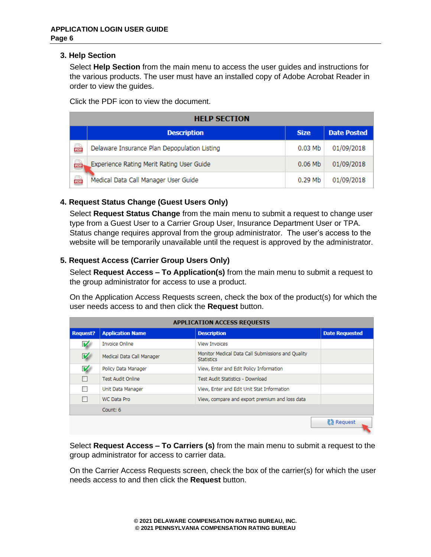## <span id="page-5-0"></span>**3. Help Section**

Select **Help Section** from the main menu to access the user guides and instructions for the various products. The user must have an installed copy of Adobe Acrobat Reader in order to view the guides.

Click the PDF icon to view the document.

|     | <b>HELP SECTION</b>                          |             |                    |  |  |  |
|-----|----------------------------------------------|-------------|--------------------|--|--|--|
|     | <b>Description</b>                           | <b>Size</b> | <b>Date Posted</b> |  |  |  |
| œ   | Delaware Insurance Plan Depopulation Listing | $0.03$ Mb   | 01/09/2018         |  |  |  |
| exi | Experience Rating Merit Rating User Guide    | $0.06$ Mb   | 01/09/2018         |  |  |  |
| œ   | Medical Data Call Manager User Guide         | $0.29$ Mb   | 01/09/2018         |  |  |  |

## <span id="page-5-1"></span>**4. Request Status Change (Guest Users Only)**

Select **Request Status Change** from the main menu to submit a request to change user type from a Guest User to a Carrier Group User, Insurance Department User or TPA. Status change requires approval from the group administrator. The user's access to the website will be temporarily unavailable until the request is approved by the administrator.

## <span id="page-5-2"></span>**5. Request Access (Carrier Group Users Only)**

Select **Request Access – To Application(s)** from the main menu to submit a request to the group administrator for access to use a product.

On the Application Access Requests screen, check the box of the product(s) for which the user needs access to and then click the **Request** button.

| <b>APPLICATION ACCESS REQUESTS</b> |                           |                                                                        |                       |  |  |
|------------------------------------|---------------------------|------------------------------------------------------------------------|-----------------------|--|--|
| <b>Request?</b>                    | <b>Application Name</b>   | <b>Description</b>                                                     | <b>Date Requested</b> |  |  |
| V                                  | <b>Invoice Online</b>     | <b>View Invoices</b>                                                   |                       |  |  |
| $\overline{\mathbf{v}}$            | Medical Data Call Manager | Monitor Medical Data Call Submissions and Quality<br><b>Statistics</b> |                       |  |  |
| V                                  | Policy Data Manager       | View, Enter and Edit Policy Information                                |                       |  |  |
|                                    | Test Audit Online         | Test Audit Statistics - Download                                       |                       |  |  |
|                                    | Unit Data Manager         | View, Enter and Edit Unit Stat Information                             |                       |  |  |
|                                    | WC Data Pro               | View, compare and export premium and loss data                         |                       |  |  |
|                                    | Count: 6                  |                                                                        |                       |  |  |
|                                    |                           |                                                                        | <b>Request</b>        |  |  |

Select **Request Access – To Carriers (s)** from the main menu to submit a request to the group administrator for access to carrier data.

On the Carrier Access Requests screen, check the box of the carrier(s) for which the user needs access to and then click the **Request** button.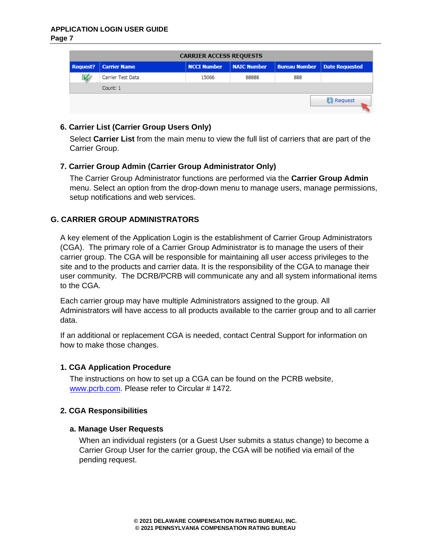**Page 7** 

| <b>CARRIER ACCESS REQUESTS</b> |                     |                    |                    |                      |                       |  |
|--------------------------------|---------------------|--------------------|--------------------|----------------------|-----------------------|--|
| <b>Request?</b>                | <b>Carrier Name</b> | <b>NCCI Number</b> | <b>NAIC Number</b> | <b>Bureau Number</b> | <b>Date Requested</b> |  |
| V                              | Carrier Test Data   | 15066              | 88888              | 888                  |                       |  |
|                                | Count: 1            |                    |                    |                      |                       |  |
|                                |                     |                    |                    |                      | Request               |  |

## <span id="page-6-0"></span>**6. Carrier List (Carrier Group Users Only)**

Select **Carrier List** from the main menu to view the full list of carriers that are part of the Carrier Group.

## <span id="page-6-1"></span>**7. Carrier Group Admin (Carrier Group Administrator Only)**

The Carrier Group Administrator functions are performed via the **Carrier Group Admin** menu. Select an option from the drop-down menu to manage users, manage permissions, setup notifications and web services.

## <span id="page-6-2"></span>**G. CARRIER GROUP ADMINISTRATORS**

A key element of the Application Login is the establishment of Carrier Group Administrators (CGA). The primary role of a Carrier Group Administrator is to manage the users of their carrier group. The CGA will be responsible for maintaining all user access privileges to the site and to the products and carrier data. It is the responsibility of the CGA to manage their user community. The DCRB/PCRB will communicate any and all system informational items to the CGA.

Each carrier group may have multiple Administrators assigned to the group. All Administrators will have access to all products available to the carrier group and to all carrier data.

If an additional or replacement CGA is needed, contact Central Support for information on how to make those changes.

## <span id="page-6-3"></span>**1. CGA Application Procedure**

The instructions on how to set up a CGA can be found on the PCRB website, [www.pcrb.com.](../www.pcrb.com) Please refer to Circular # 1472.

## <span id="page-6-5"></span><span id="page-6-4"></span>**2. CGA Responsibilities**

## **a. Manage User Requests**

When an individual registers (or a Guest User submits a status change) to become a Carrier Group User for the carrier group, the CGA will be notified via email of the pending request.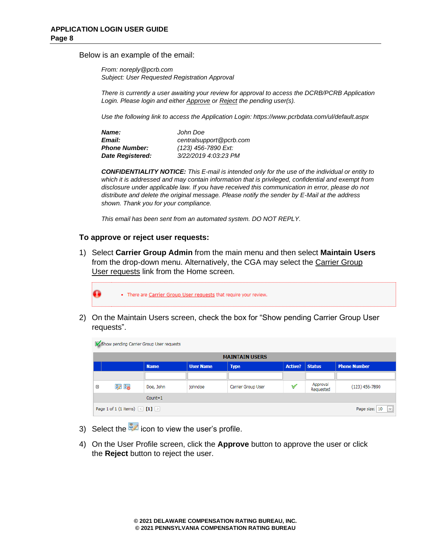Below is an example of the email:

*From: noreply@pcrb.com Subject: User Requested Registration Approval*

*There is currently a user awaiting your review for approval to access the DCRB/PCRB Application Login. Please login and either Approve or Reject the pending user(s).*

*Use the following link to access the Application Login: https://www.pcrbdata.com/ul/default.aspx*

| Name:                | John Doe                |
|----------------------|-------------------------|
| Email:               | centralsupport@pcrb.com |
| <b>Phone Number:</b> | (123) 456-7890 Ext:     |
| Date Registered:     | 3/22/2019 4:03:23 PM    |

*CONFIDENTIALITY NOTICE: This E-mail is intended only for the use of the individual or entity to*  which it is addressed and may contain information that is privileged, confidential and exempt from *disclosure under applicable law. If you have received this communication in error, please do not distribute and delete the original message. Please notify the sender by E-Mail at the address shown. Thank you for your compliance.*

*This email has been sent from an automated system. DO NOT REPLY.*

#### **To approve or reject user requests:**

1) Select **Carrier Group Admin** from the main menu and then select **Maintain Users** from the drop-down menu. Alternatively, the CGA may select the Carrier Group User requests link from the Home screen.



2) On the Maintain Users screen, check the box for "Show pending Carrier Group User requests".

|            | <b>V</b> Show pending Carrier Group User requests                  |             |                  |                    |                |                       |                     |
|------------|--------------------------------------------------------------------|-------------|------------------|--------------------|----------------|-----------------------|---------------------|
|            | <b>MAINTAIN USERS</b>                                              |             |                  |                    |                |                       |                     |
|            |                                                                    | <b>Name</b> | <b>User Name</b> | <b>Type</b>        | <b>Active?</b> | <b>Status</b>         | <b>Phone Number</b> |
|            |                                                                    |             |                  |                    |                |                       |                     |
| $\boxplus$ | 37 Be                                                              | Doe, John   | johndoe          | Carrier Group User | ∀              | Approval<br>Requested | $(123)$ 456-7890    |
|            | $Count = 1$                                                        |             |                  |                    |                |                       |                     |
|            | Page 1 of 1 (1 items) $\leq$ [1] $\geq$<br>Page size: 10<br>$\lor$ |             |                  |                    |                |                       |                     |

- 3) Select the  $\frac{3}{2}$  icon to view the user's profile.
- 4) On the User Profile screen, click the **Approve** button to approve the user or click the **Reject** button to reject the user.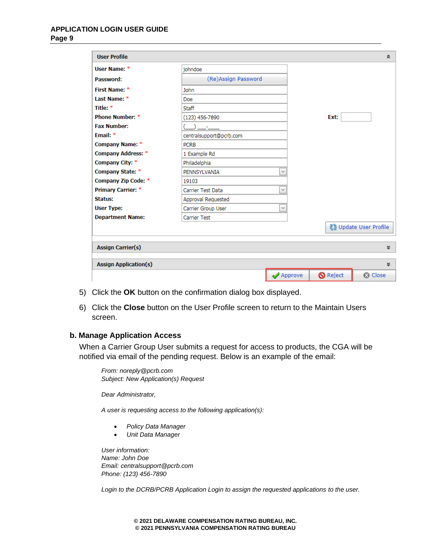#### **APPLICATION LOGIN USER GUIDE Page 9**

| <b>User Profile</b>          |                         |                               |                 | 슷                            |
|------------------------------|-------------------------|-------------------------------|-----------------|------------------------------|
| User Name: *                 | iohndoe                 |                               |                 |                              |
| Password:                    | (Re)Assign Password     |                               |                 |                              |
| First Name: *                | <b>John</b>             |                               |                 |                              |
| Last Name: *                 | Doe                     |                               |                 |                              |
| Title: *                     | Staff                   |                               |                 |                              |
| <b>Phone Number: *</b>       | $(123)$ 456-7890        |                               | Ext:            |                              |
| <b>Fax Number:</b>           |                         |                               |                 |                              |
| Email: $*$                   | centralsupport@pcrb.com |                               |                 |                              |
| <b>Company Name: *</b>       | <b>PCRB</b>             |                               |                 |                              |
| <b>Company Address: *</b>    | 1 Example Rd            |                               |                 |                              |
| Company City: *              | Philadelphia            |                               |                 |                              |
| <b>Company State: *</b>      | PENNSYLVANIA            | $\checkmark$                  |                 |                              |
| <b>Company Zip Code: *</b>   | 19103                   |                               |                 |                              |
| <b>Primary Carrier: *</b>    | Carrier Test Data       | $\checkmark$                  |                 |                              |
| Status:                      | Approval Requested      |                               |                 |                              |
| <b>User Type:</b>            | Carrier Group User      | $\checkmark$                  |                 |                              |
| <b>Department Name:</b>      | <b>Carrier Test</b>     |                               |                 |                              |
|                              |                         |                               |                 | <b>M</b> Update User Profile |
| <b>Assign Carrier(s)</b>     |                         |                               |                 | ×.                           |
| <b>Assign Application(s)</b> |                         |                               |                 | ×.                           |
|                              |                         | $\blacktriangleright$ Approve | <b>O</b> Reject | <b>8</b> Close               |

- 5) Click the **OK** button on the confirmation dialog box displayed.
- 6) Click the **Close** button on the User Profile screen to return to the Maintain Users screen.

#### <span id="page-8-0"></span>**b. Manage Application Access**

When a Carrier Group User submits a request for access to products, the CGA will be notified via email of the pending request. Below is an example of the email:

*From: noreply@pcrb.com Subject: New Application(s) Request*

*Dear Administrator,*

*A user is requesting access to the following application(s):*

- *Policy Data Manager*
- *Unit Data Manager*

*User information: Name: John Doe Email: centralsupport@pcrb.com Phone: (123) 456-7890* 

*Login to the DCRB/PCRB Application Login to assign the requested applications to the user.*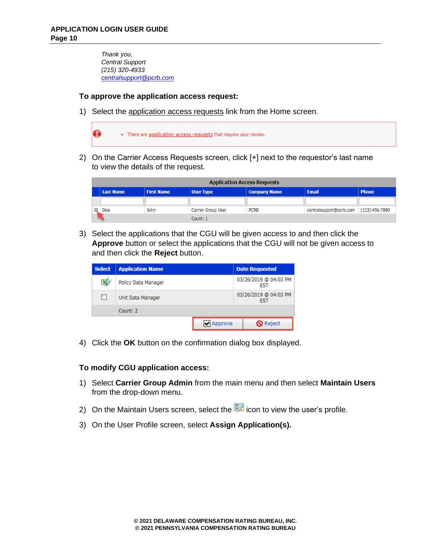*Thank you, Central Support (215) 320-4933 [centralsupport@pcrb.com](mailto:centralsupport@pcrb.com)*

#### **To approve the application access request:**

1) Select the application access requests link from the Home screen.



2) On the Carrier Access Requests screen, click [+] next to the requestor's last name to view the details of the request.

|   | <b>Application Access Requests</b> |                   |                    |                     |                         |                  |
|---|------------------------------------|-------------------|--------------------|---------------------|-------------------------|------------------|
|   | <b>Last Name</b>                   | <b>First Name</b> | <b>User Type</b>   | <b>Company Name</b> | <b>Email</b>            | <b>Phone</b>     |
|   |                                    |                   |                    |                     |                         |                  |
| ⊕ | Doe                                | John              | Carrier Group User | <b>PCRB</b>         | centralsupport@pcrb.com | $(123)$ 456-7890 |
|   | Count: 1                           |                   |                    |                     |                         |                  |

3) Select the applications that the CGU will be given access to and then click the **Approve** button or select the applications that the CGU will not be given access to and then click the **Reject** button.

| <b>Select</b> | <b>Application Name</b> |           | <b>Date Requested</b>               |
|---------------|-------------------------|-----------|-------------------------------------|
| V             | Policy Data Manager     |           | 03/26/2019 @ 04:03 PM<br><b>FST</b> |
| ш             | Unit Data Manager       |           | 03/26/2019 @ 04:03 PM<br><b>FST</b> |
|               | Count: 2                |           |                                     |
|               |                         | ✔ Approve | <b>O</b> Reject                     |

4) Click the **OK** button on the confirmation dialog box displayed.

#### **To modify CGU application access:**

- 1) Select **Carrier Group Admin** from the main menu and then select **Maintain Users** from the drop-down menu.
- 2) On the Maintain Users screen, select the  $\mathbb{R}$  icon to view the user's profile.
- 3) On the User Profile screen, select **Assign Application(s).**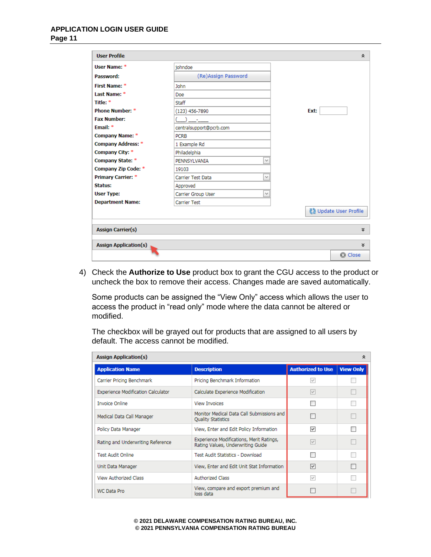#### **APPLICATION LOGIN USER GUIDE Page 11**

| <b>User Profile</b>          |                                    | 슷                   |
|------------------------------|------------------------------------|---------------------|
| User Name: *                 | iohndoe                            |                     |
| Password:                    | (Re)Assign Password                |                     |
| First Name: *                | <b>John</b>                        |                     |
| Last Name: *                 | Doe                                |                     |
| Title: *                     | <b>Staff</b>                       |                     |
| <b>Phone Number: *</b>       | $(123)$ 456-7890                   | Ext:                |
| <b>Fax Number:</b>           |                                    |                     |
| Email: $*$                   | centralsupport@pcrb.com            |                     |
| <b>Company Name: *</b>       | <b>PCRB</b>                        |                     |
| <b>Company Address: *</b>    | 1 Example Rd                       |                     |
| Company City: *              | Philadelphia                       |                     |
| Company State: *             | PENNSYLVANIA<br>$\checkmark$       |                     |
| <b>Company Zip Code: *</b>   | 19103                              |                     |
| <b>Primary Carrier: *</b>    | $\checkmark$<br>Carrier Test Data  |                     |
| <b>Status:</b>               | Approved                           |                     |
| <b>User Type:</b>            | $\checkmark$<br>Carrier Group User |                     |
| <b>Department Name:</b>      | <b>Carrier Test</b>                |                     |
|                              |                                    | Update User Profile |
| <b>Assign Carrier(s)</b>     |                                    | ×.                  |
| <b>Assign Application(s)</b> |                                    | ×.                  |
|                              |                                    | <b>8</b> Close      |

4) Check the **Authorize to Use** product box to grant the CGU access to the product or uncheck the box to remove their access. Changes made are saved automatically.

Some products can be assigned the "View Only" access which allows the user to access the product in "read only" mode where the data cannot be altered or modified.

The checkbox will be grayed out for products that are assigned to all users by default. The access cannot be modified.

| <b>Assign Application(s)</b><br>⋩         |                                                                               |                          |                  |  |  |
|-------------------------------------------|-------------------------------------------------------------------------------|--------------------------|------------------|--|--|
| <b>Application Name</b>                   | <b>Description</b>                                                            | <b>Authorized to Use</b> | <b>View Only</b> |  |  |
| Carrier Pricing Benchmark                 | Pricing Benchmark Information                                                 | $\checkmark$             |                  |  |  |
| <b>Experience Modification Calculator</b> | Calculate Experience Modification                                             | $\checkmark$             |                  |  |  |
| <b>Invoice Online</b>                     | <b>View Invoices</b>                                                          |                          |                  |  |  |
| Medical Data Call Manager                 | Monitor Medical Data Call Submissions and<br><b>Quality Statistics</b>        |                          |                  |  |  |
| Policy Data Manager                       | View, Enter and Edit Policy Information                                       | $\overline{\mathbf{v}}$  |                  |  |  |
| Rating and Underwriting Reference         | Experience Modifications, Merit Ratings,<br>Rating Values, Underwriting Guide | $\checkmark$             |                  |  |  |
| <b>Test Audit Online</b>                  | Test Audit Statistics - Download                                              |                          |                  |  |  |
| Unit Data Manager                         | View, Enter and Edit Unit Stat Information                                    | $\blacktriangledown$     |                  |  |  |
| View Authorized Class                     | <b>Authorized Class</b>                                                       | v                        |                  |  |  |
| <b>WC Data Pro</b>                        | View, compare and export premium and<br>loss data                             |                          |                  |  |  |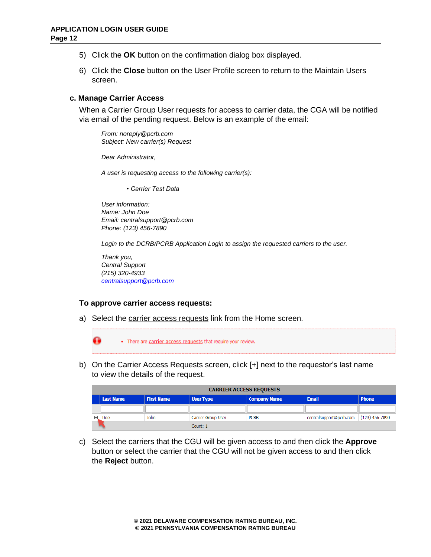- 5) Click the **OK** button on the confirmation dialog box displayed.
- 6) Click the **Close** button on the User Profile screen to return to the Maintain Users screen.

#### <span id="page-11-0"></span>**c. Manage Carrier Access**

When a Carrier Group User requests for access to carrier data, the CGA will be notified via email of the pending request. Below is an example of the email:

*From: noreply@pcrb.com Subject: New carrier(s) Request*

*Dear Administrator,*

*A user is requesting access to the following carrier(s):*

*• Carrier Test Data*

*User information: Name: John Doe Email: centralsupport@pcrb.com Phone: (123) 456-7890* 

*Login to the DCRB/PCRB Application Login to assign the requested carriers to the user.*

*Thank you, Central Support (215) 320-4933 [centralsupport@pcrb.com](mailto:centralsupport@pcrb.com)*

#### **To approve carrier access requests:**

a) Select the carrier access requests link from the Home screen.



b) On the Carrier Access Requests screen, click [+] next to the requestor's last name to view the details of the request.

|            | <b>CARRIER ACCESS REQUESTS</b> |                   |                    |                     |                         |                |
|------------|--------------------------------|-------------------|--------------------|---------------------|-------------------------|----------------|
|            | <b>Last Name</b>               | <b>First Name</b> | <b>User Type</b>   | <b>Company Name</b> | <b>Email</b>            | <b>Phone</b>   |
|            |                                |                   |                    |                     |                         |                |
| $\boxplus$ | Doe                            | John              | Carrier Group User | <b>PCRB</b>         | centralsupport@pcrb.com | (123) 456-7890 |
|            | Count: 1                       |                   |                    |                     |                         |                |

c) Select the carriers that the CGU will be given access to and then click the **Approve** button or select the carrier that the CGU will not be given access to and then click the **Reject** button.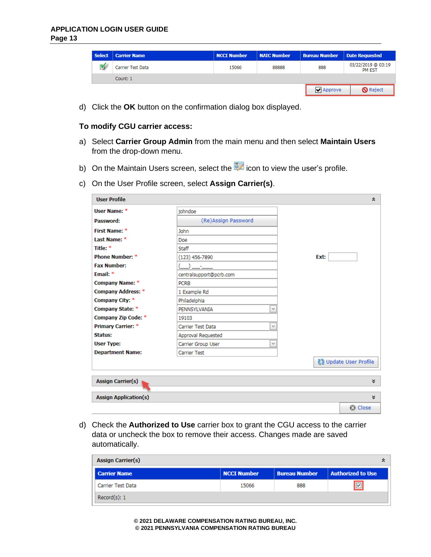#### **APPLICATION LOGIN USER GUIDE Page 13**

| Select | <b>Carrier Name</b> | <b>NCCI Number</b> | <b>NAIC Number</b> | <b>Bureau Number</b>          | <b>Date Requested</b>               |
|--------|---------------------|--------------------|--------------------|-------------------------------|-------------------------------------|
| M      | Carrier Test Data   | 15066              | 88888              | 888                           | 03/22/2019 @ 03:19<br><b>PM EST</b> |
|        | Count: 1            |                    |                    |                               |                                     |
|        |                     |                    |                    | $\blacktriangleright$ Approve | <b>O</b> Reject                     |

d) Click the **OK** button on the confirmation dialog box displayed.

#### **To modify CGU carrier access:**

- a) Select **Carrier Group Admin** from the main menu and then select **Maintain Users** from the drop-down menu.
- b) On the Maintain Users screen, select the  $\frac{1}{2}$  icon to view the user's profile.
- c) On the User Profile screen, select **Assign Carrier(s)**.

| <b>User Profile</b>          |                                    | 仌                            |
|------------------------------|------------------------------------|------------------------------|
| User Name: *                 | iohndoe                            |                              |
| Password:                    | (Re)Assign Password                |                              |
| First Name: *                | <b>John</b>                        |                              |
| Last Name: *                 | Doe                                |                              |
| Title: *                     | Staff                              |                              |
| <b>Phone Number: *</b>       | $(123)$ 456-7890                   | Ext:                         |
| <b>Fax Number:</b>           |                                    |                              |
| Email: *                     | centralsupport@pcrb.com            |                              |
| <b>Company Name: *</b>       | <b>PCRB</b>                        |                              |
| <b>Company Address: *</b>    | 1 Example Rd                       |                              |
| Company City: *              | Philadelphia                       |                              |
| Company State: *             | $\checkmark$<br>PENNSYLVANIA       |                              |
| Company Zip Code: *          | 19103                              |                              |
| <b>Primary Carrier: *</b>    | $\checkmark$<br>Carrier Test Data  |                              |
| <b>Status:</b>               | Approval Requested                 |                              |
| <b>User Type:</b>            | $\checkmark$<br>Carrier Group User |                              |
| <b>Department Name:</b>      | <b>Carrier Test</b>                |                              |
|                              |                                    | <b>图 Update User Profile</b> |
| <b>Assign Carrier(s)</b>     |                                    | ×.                           |
| <b>Assign Application(s)</b> |                                    | ×.                           |
|                              |                                    | <b>8</b> Close               |

d) Check the **Authorized to Use** carrier box to grant the CGU access to the carrier data or uncheck the box to remove their access. Changes made are saved automatically.

| <b>Assign Carrier(s)</b> |                    |                      |                          |  |
|--------------------------|--------------------|----------------------|--------------------------|--|
| <b>Carrier Name</b>      | <b>NCCI Number</b> | <b>Bureau Number</b> | <b>Authorized to Use</b> |  |
| Carrier Test Data        | 15066              | 888                  | $\boxed{\triangleright}$ |  |
| Record(s): 1             |                    |                      |                          |  |

**© 2021 DELAWARE COMPENSATION RATING BUREAU, INC. © 2021 PENNSYLVANIA COMPENSATION RATING BUREAU**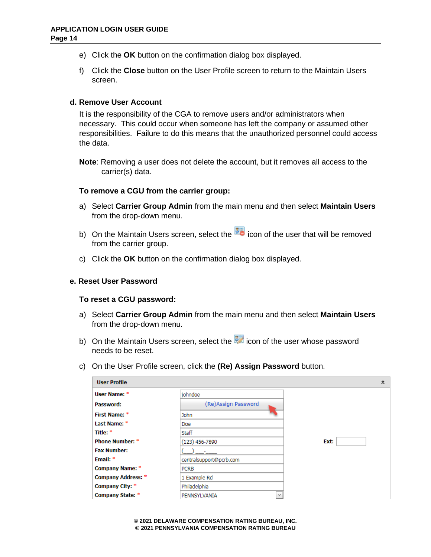- e) Click the **OK** button on the confirmation dialog box displayed.
- f) Click the **Close** button on the User Profile screen to return to the Maintain Users screen.

#### <span id="page-13-0"></span>**d. Remove User Account**

It is the responsibility of the CGA to remove users and/or administrators when necessary. This could occur when someone has left the company or assumed other responsibilities. Failure to do this means that the unauthorized personnel could access the data.

**Note**: Removing a user does not delete the account, but it removes all access to the carrier(s) data.

#### **To remove a CGU from the carrier group:**

- a) Select **Carrier Group Admin** from the main menu and then select **Maintain Users** from the drop-down menu.
- b) On the Maintain Users screen, select the **interelate user that will be removed** from the carrier group.
- c) Click the **OK** button on the confirmation dialog box displayed.

#### <span id="page-13-1"></span>**e. Reset User Password**

#### **To reset a CGU password:**

- a) Select **Carrier Group Admin** from the main menu and then select **Maintain Users**  from the drop-down menu.
- b) On the Maintain Users screen, select the  $\frac{1}{2}$  icon of the user whose password needs to be reset.
- c) On the User Profile screen, click the **(Re) Assign Password** button.

| <b>User Profile</b>       |                              | 슷    |
|---------------------------|------------------------------|------|
| User Name: *              | iohndoe                      |      |
| Password:                 | (Re)Assign Password          |      |
| First Name: *             | John                         |      |
| Last Name: *              | Doe                          |      |
| Title: *                  | <b>Staff</b>                 |      |
| <b>Phone Number: *</b>    | $(123)$ 456-7890             | Ext: |
| <b>Fax Number:</b>        |                              |      |
| Email: *                  | centralsupport@pcrb.com      |      |
| <b>Company Name: *</b>    | <b>PCRB</b>                  |      |
| <b>Company Address: *</b> | 1 Example Rd                 |      |
| Company City: *           | Philadelphia                 |      |
| Company State: *          | $\checkmark$<br>PENNSYLVANIA |      |

**© 2021 DELAWARE COMPENSATION RATING BUREAU, INC. © 2021 PENNSYLVANIA COMPENSATION RATING BUREAU**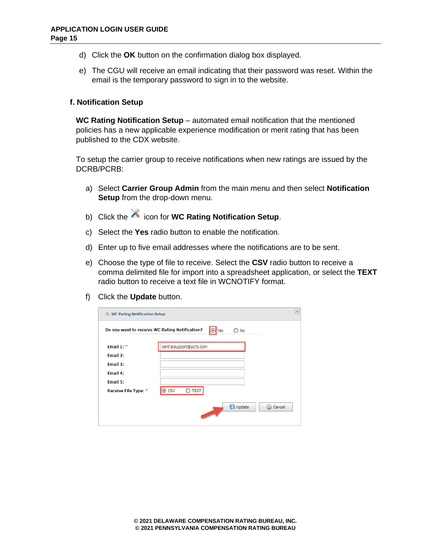- d) Click the **OK** button on the confirmation dialog box displayed.
- e) The CGU will receive an email indicating that their password was reset. Within the email is the temporary password to sign in to the website.

#### <span id="page-14-0"></span>**f. Notification Setup**

**WC Rating Notification Setup** – automated email notification that the mentioned policies has a new applicable experience modification or merit rating that has been published to the CDX website.

To setup the carrier group to receive notifications when new ratings are issued by the DCRB/PCRB:

- a) Select **Carrier Group Admin** from the main menu and then select **Notification Setup** from the drop-down menu.
- b) Click the **i**con for **WC Rating Notification Setup**.
- c) Select the **Yes** radio button to enable the notification.
- d) Enter up to five email addresses where the notifications are to be sent.
- e) Choose the type of file to receive. Select the **CSV** radio button to receive a comma delimited file for import into a spreadsheet application, or select the **TEXT** radio button to receive a text file in WCNOTIFY format.
- f) Click the **Update** button.

| <b>※ WC Rating Notification Setup</b>          |                            | $[\times]$ |
|------------------------------------------------|----------------------------|------------|
| Do you want to receive WC Rating Notification? | O Yes<br>No                |            |
| Email $1:$ *                                   | centralsupport@pcrb.com    |            |
| Email 2:                                       |                            |            |
| Email 3:                                       |                            |            |
| Email 4:                                       |                            |            |
| Email 5:                                       |                            |            |
| Receive File Type: *                           | ⊙ CSV<br><b>TEXT</b>       |            |
|                                                | <b>C2</b> Update<br>Cancel |            |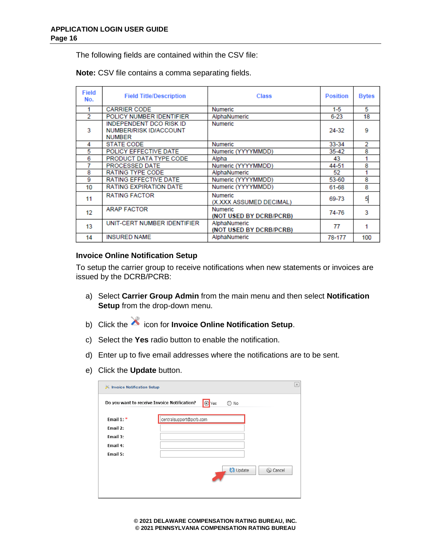The following fields are contained within the CSV file:

**Note:** CSV file contains a comma separating fields.

| <b>Field</b><br>No. | <b>Field Title/Description</b>                                                   | <b>Class</b>                              | <b>Position</b> | <b>Bytes</b> |
|---------------------|----------------------------------------------------------------------------------|-------------------------------------------|-----------------|--------------|
|                     | <b>CARRIER CODE</b>                                                              | <b>Numeric</b>                            | 1-5             | 5            |
| 2                   | POLICY NUMBER IDENTIFIER                                                         | AlphaNumeric                              | $6 - 23$        | 18           |
| 3                   | <b>INDEPENDENT DCO RISK ID</b><br><b>NUMBER/RISK ID/ACCOUNT</b><br><b>NUMBER</b> | <b>Numeric</b>                            | 24-32           | 9            |
| 4                   | <b>STATE CODE</b>                                                                | <b>Numeric</b>                            | 33-34           | 2            |
| 5                   | POLICY EFFECTIVE DATE                                                            | Numeric (YYYYMMDD)                        | 35-42           | 8            |
| 6                   | PRODUCT DATA TYPE CODE                                                           | Alpha                                     | 43              |              |
|                     | <b>PROCESSED DATE</b>                                                            | Numeric (YYYYMMDD)                        | 44-51           | 8            |
| 8                   | <b>RATING TYPE CODE</b>                                                          | AlphaNumeric                              | 52              |              |
| 9                   | <b>RATING EFFECTIVE DATE</b>                                                     | Numeric (YYYYMMDD)                        | 53-60           | я            |
| 10                  | <b>RATING EXPIRATION DATE</b>                                                    | Numeric (YYYYMMDD)                        | 61-68           | 8            |
| 11                  | <b>RATING FACTOR</b>                                                             | <b>Numeric</b><br>(X.XXX ASSUMED DECIMAL) | 69-73           | 5            |
| 12                  | <b>ARAP FACTOR</b>                                                               | <b>Numeric</b><br>(NOT USED BY DCRB/PCRB) | 74-76           | 3            |
| 13                  | UNIT-CERT NUMBER IDENTIFIER                                                      | AlphaNumeric<br>(NOT USED BY DCRB/PCRB)   | 77              |              |
| 14                  | <b>INSURED NAME</b>                                                              | AlphaNumeric                              | 78-177          | 100          |

## **Invoice Online Notification Setup**

To setup the carrier group to receive notifications when new statements or invoices are issued by the DCRB/PCRB:

- a) Select **Carrier Group Admin** from the main menu and then select **Notification Setup** from the drop-down menu.
- b) Click the **invoice Online Notification Setup**.
- c) Select the **Yes** radio button to enable the notification.
- d) Enter up to five email addresses where the notifications are to be sent.
- e) Click the **Update** button.

| <b>X</b> Invoice Notification Setup          |                         | $\times$ |
|----------------------------------------------|-------------------------|----------|
| Do you want to receive Invoice Notification? | O Yes<br>$\bigcirc$ No  |          |
| Email $1:$ *                                 | centralsupport@pcrb.com |          |
| Email 2:                                     |                         |          |
| Email 3:                                     |                         |          |
| Email 4:                                     |                         |          |
| Email 5:                                     |                         |          |
|                                              | <b>Update</b><br>Cancel |          |

**© 2021 DELAWARE COMPENSATION RATING BUREAU, INC. © 2021 PENNSYLVANIA COMPENSATION RATING BUREAU**